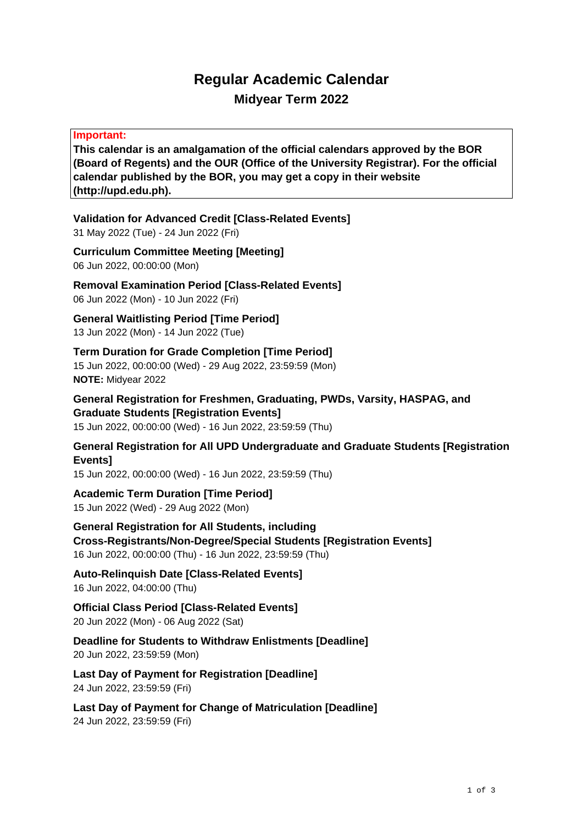## **Regular Academic Calendar Midyear Term 2022**

#### **Important:**

**This calendar is an amalgamation of the official calendars approved by the BOR (Board of Regents) and the OUR (Office of the University Registrar). For the official calendar published by the BOR, you may get a copy in their website (http://upd.edu.ph).**

**Validation for Advanced Credit [Class-Related Events]** 31 May 2022 (Tue) - 24 Jun 2022 (Fri)

**Curriculum Committee Meeting [Meeting]** 06 Jun 2022, 00:00:00 (Mon)

**Removal Examination Period [Class-Related Events]** 06 Jun 2022 (Mon) - 10 Jun 2022 (Fri)

**General Waitlisting Period [Time Period]** 13 Jun 2022 (Mon) - 14 Jun 2022 (Tue)

**Term Duration for Grade Completion [Time Period]** 15 Jun 2022, 00:00:00 (Wed) - 29 Aug 2022, 23:59:59 (Mon) **NOTE:** Midyear 2022

**General Registration for Freshmen, Graduating, PWDs, Varsity, HASPAG, and Graduate Students [Registration Events]** 15 Jun 2022, 00:00:00 (Wed) - 16 Jun 2022, 23:59:59 (Thu)

**General Registration for All UPD Undergraduate and Graduate Students [Registration Events]**

15 Jun 2022, 00:00:00 (Wed) - 16 Jun 2022, 23:59:59 (Thu)

**Academic Term Duration [Time Period]** 15 Jun 2022 (Wed) - 29 Aug 2022 (Mon)

**General Registration for All Students, including Cross-Registrants/Non-Degree/Special Students [Registration Events]** 16 Jun 2022, 00:00:00 (Thu) - 16 Jun 2022, 23:59:59 (Thu)

**Auto-Relinquish Date [Class-Related Events]** 16 Jun 2022, 04:00:00 (Thu)

**Official Class Period [Class-Related Events]** 20 Jun 2022 (Mon) - 06 Aug 2022 (Sat)

**Deadline for Students to Withdraw Enlistments [Deadline]** 20 Jun 2022, 23:59:59 (Mon)

**Last Day of Payment for Registration [Deadline]** 24 Jun 2022, 23:59:59 (Fri)

**Last Day of Payment for Change of Matriculation [Deadline]** 24 Jun 2022, 23:59:59 (Fri)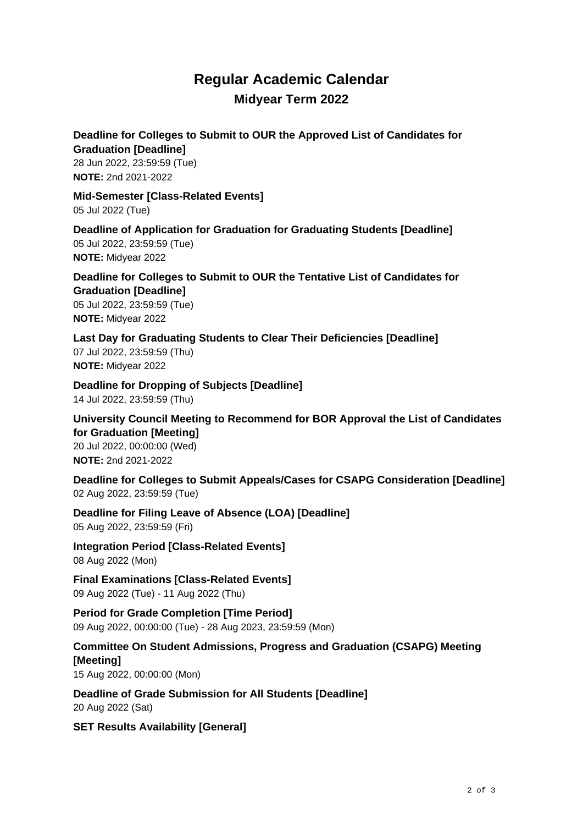## **Regular Academic Calendar Midyear Term 2022**

#### **Deadline for Colleges to Submit to OUR the Approved List of Candidates for Graduation [Deadline]**

28 Jun 2022, 23:59:59 (Tue) **NOTE:** 2nd 2021-2022

**Mid-Semester [Class-Related Events]** 05 Jul 2022 (Tue)

**Deadline of Application for Graduation for Graduating Students [Deadline]** 05 Jul 2022, 23:59:59 (Tue) **NOTE:** Midyear 2022

**Deadline for Colleges to Submit to OUR the Tentative List of Candidates for Graduation [Deadline]** 05 Jul 2022, 23:59:59 (Tue) **NOTE:** Midyear 2022

**Last Day for Graduating Students to Clear Their Deficiencies [Deadline]** 07 Jul 2022, 23:59:59 (Thu) **NOTE:** Midyear 2022

**Deadline for Dropping of Subjects [Deadline]** 14 Jul 2022, 23:59:59 (Thu)

**University Council Meeting to Recommend for BOR Approval the List of Candidates for Graduation [Meeting]** 20 Jul 2022, 00:00:00 (Wed) **NOTE:** 2nd 2021-2022

**Deadline for Colleges to Submit Appeals/Cases for CSAPG Consideration [Deadline]** 02 Aug 2022, 23:59:59 (Tue)

**Deadline for Filing Leave of Absence (LOA) [Deadline]** 05 Aug 2022, 23:59:59 (Fri)

**Integration Period [Class-Related Events]** 08 Aug 2022 (Mon)

**Final Examinations [Class-Related Events]** 09 Aug 2022 (Tue) - 11 Aug 2022 (Thu)

**Period for Grade Completion [Time Period]** 09 Aug 2022, 00:00:00 (Tue) - 28 Aug 2023, 23:59:59 (Mon)

### **Committee On Student Admissions, Progress and Graduation (CSAPG) Meeting [Meeting]**

15 Aug 2022, 00:00:00 (Mon)

**Deadline of Grade Submission for All Students [Deadline]** 20 Aug 2022 (Sat)

**SET Results Availability [General]**